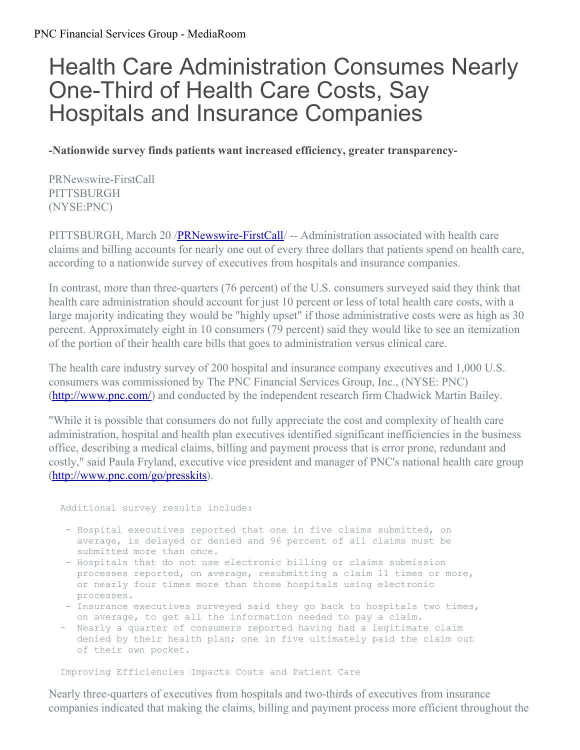## Health Care Administration Consumes Nearly One-Third of Health Care Costs, Say Hospitals and Insurance Companies

**-Nationwide survey finds patients want increased efficiency, greater transparency-**

PRNewswire-FirstCall PITTSBURGH (NYSE:PNC)

PITTSBURGH, March 20 [/PRNewswire-FirstCall](http://www.prnewswire.com/)/ -- Administration associated with health care claims and billing accounts for nearly one out of every three dollars that patients spend on health care, according to a nationwide survey of executives from hospitals and insurance companies.

In contrast, more than three-quarters (76 percent) of the U.S. consumers surveyed said they think that health care administration should account for just 10 percent or less of total health care costs, with a large majority indicating they would be "highly upset" if those administrative costs were as high as 30 percent. Approximately eight in 10 consumers (79 percent) said they would like to see an itemization of the portion of their health care bills that goes to administration versus clinical care.

The health care industry survey of 200 hospital and insurance company executives and 1,000 U.S. consumers was commissioned by The PNC Financial Services Group, Inc., (NYSE: PNC) [\(http://www.pnc.com/](http://www.pnc.com/)) and conducted by the independent research firm Chadwick Martin Bailey.

"While it is possible that consumers do not fully appreciate the cost and complexity of health care administration, hospital and health plan executives identified significant inefficiencies in the business office, describing a medical claims, billing and payment process that is error prone, redundant and costly," said Paula Fryland, executive vice president and manager of PNC's national health care group [\(http://www.pnc.com/go/presskits](http://www.pnc.com/go/presskits)).

Additional survey results include:

- Hospital executives reported that one in five claims submitted, on average, is delayed or denied and 96 percent of all claims must be submitted more than once.
- Hospitals that do not use electronic billing or claims submission processes reported, on average, resubmitting a claim 11 times or more, or nearly four times more than those hospitals using electronic processes.
- Insurance executives surveyed said they go back to hospitals two times, on average, to get all the information needed to pay a claim.
- Nearly a quarter of consumers reported having had a legitimate claim denied by their health plan; one in five ultimately paid the claim out of their own pocket.

Improving Efficiencies Impacts Costs and Patient Care

Nearly three-quarters of executives from hospitals and two-thirds of executives from insurance companies indicated that making the claims, billing and payment process more efficient throughout the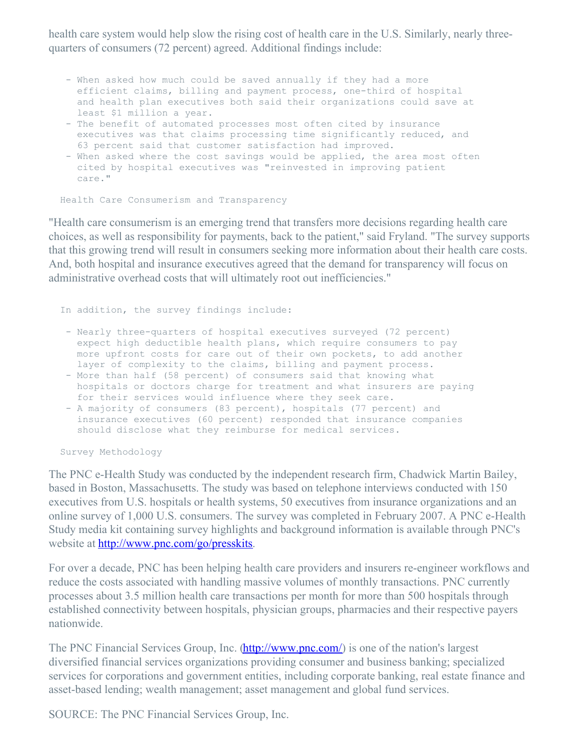health care system would help slow the rising cost of health care in the U.S. Similarly, nearly threequarters of consumers (72 percent) agreed. Additional findings include:

- When asked how much could be saved annually if they had a more efficient claims, billing and payment process, one-third of hospital and health plan executives both said their organizations could save at least \$1 million a year.
- The benefit of automated processes most often cited by insurance executives was that claims processing time significantly reduced, and 63 percent said that customer satisfaction had improved.
- When asked where the cost savings would be applied, the area most often cited by hospital executives was "reinvested in improving patient care."

Health Care Consumerism and Transparency

"Health care consumerism is an emerging trend that transfers more decisions regarding health care choices, as well as responsibility for payments, back to the patient," said Fryland. "The survey supports that this growing trend will result in consumers seeking more information about their health care costs. And, both hospital and insurance executives agreed that the demand for transparency will focus on administrative overhead costs that will ultimately root out inefficiencies."

In addition, the survey findings include:

- Nearly three-quarters of hospital executives surveyed (72 percent) expect high deductible health plans, which require consumers to pay more upfront costs for care out of their own pockets, to add another layer of complexity to the claims, billing and payment process.
- More than half (58 percent) of consumers said that knowing what hospitals or doctors charge for treatment and what insurers are paying for their services would influence where they seek care.
- A majority of consumers (83 percent), hospitals (77 percent) and insurance executives (60 percent) responded that insurance companies should disclose what they reimburse for medical services.

Survey Methodology

The PNC e-Health Study was conducted by the independent research firm, Chadwick Martin Bailey, based in Boston, Massachusetts. The study was based on telephone interviews conducted with 150 executives from U.S. hospitals or health systems, 50 executives from insurance organizations and an online survey of 1,000 U.S. consumers. The survey was completed in February 2007. A PNC e-Health Study media kit containing survey highlights and background information is available through PNC's website at <http://www.pnc.com/go/presskits>.

For over a decade, PNC has been helping health care providers and insurers re-engineer workflows and reduce the costs associated with handling massive volumes of monthly transactions. PNC currently processes about 3.5 million health care transactions per month for more than 500 hospitals through established connectivity between hospitals, physician groups, pharmacies and their respective payers nationwide.

The PNC Financial Services Group, Inc. [\(http://www.pnc.com/](http://www.pnc.com/)) is one of the nation's largest diversified financial services organizations providing consumer and business banking; specialized services for corporations and government entities, including corporate banking, real estate finance and asset-based lending; wealth management; asset management and global fund services.

SOURCE: The PNC Financial Services Group, Inc.